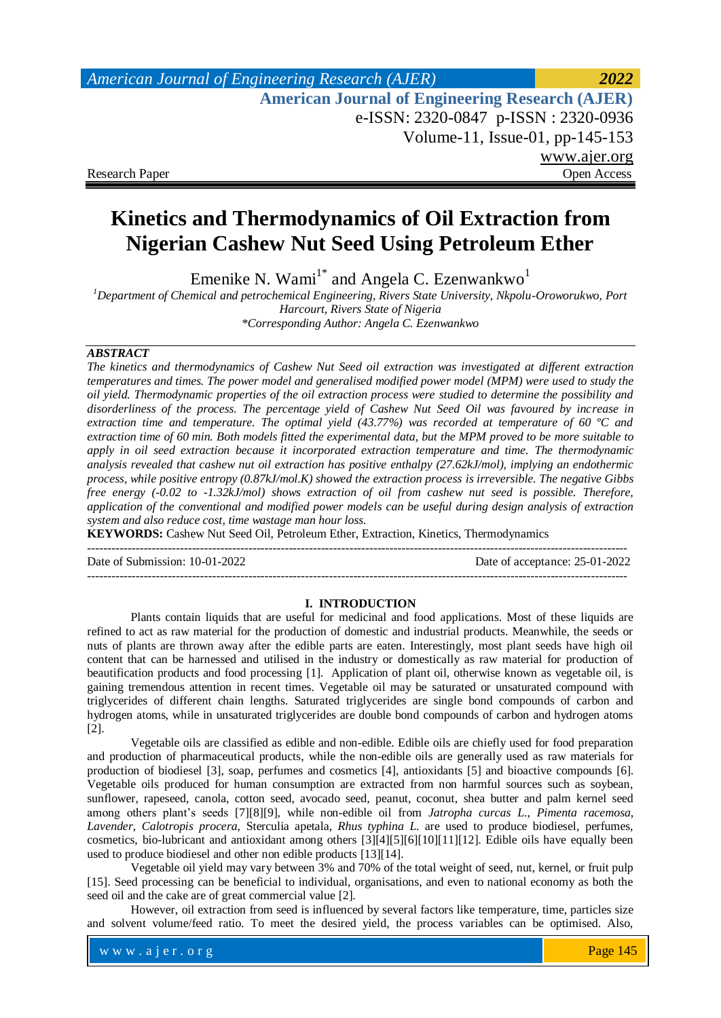# *American Journal of Engineering Research (AJER) 2022*  **American Journal of Engineering Research (AJER)** e-ISSN: 2320-0847 p-ISSN : 2320-0936 Volume-11, Issue-01, pp-145-153 www.ajer.org Research Paper **Open Access** Open Access **Open Access**

# **Kinetics and Thermodynamics of Oil Extraction from Nigerian Cashew Nut Seed Using Petroleum Ether**

Emenike N. Wami<sup>1\*</sup> and Angela C. Ezenwankwo<sup>1</sup>

*<sup>1</sup>Department of Chemical and petrochemical Engineering, Rivers State University, Nkpolu-Oroworukwo, Port Harcourt, Rivers State of Nigeria \*Corresponding Author: Angela C. Ezenwankwo*

# *ABSTRACT*

*The kinetics and thermodynamics of Cashew Nut Seed oil extraction was investigated at different extraction temperatures and times. The power model and generalised modified power model (MPM) were used to study the oil yield. Thermodynamic properties of the oil extraction process were studied to determine the possibility and disorderliness of the process. The percentage yield of Cashew Nut Seed Oil was favoured by increase in extraction time and temperature. The optimal yield (43.77%) was recorded at temperature of 60 ºC and extraction time of 60 min. Both models fitted the experimental data, but the MPM proved to be more suitable to apply in oil seed extraction because it incorporated extraction temperature and time. The thermodynamic analysis revealed that cashew nut oil extraction has positive enthalpy (27.62kJ/mol), implying an endothermic process, while positive entropy (0.87kJ/mol.K) showed the extraction process is irreversible. The negative Gibbs free energy (-0.02 to -1.32kJ/mol) shows extraction of oil from cashew nut seed is possible. Therefore, application of the conventional and modified power models can be useful during design analysis of extraction system and also reduce cost, time wastage man hour loss.*

**KEYWORDS:** Cashew Nut Seed Oil, Petroleum Ether, Extraction, Kinetics, Thermodynamics

--------------------------------------------------------------------------------------------------------------------------------------

Date of Submission: 10-01-2022 Date of acceptance: 25-01-2022

--------------------------------------------------------------------------------------------------------------------------------------

# **I. INTRODUCTION**

Plants contain liquids that are useful for medicinal and food applications. Most of these liquids are refined to act as raw material for the production of domestic and industrial products. Meanwhile, the seeds or nuts of plants are thrown away after the edible parts are eaten. Interestingly, most plant seeds have high oil content that can be harnessed and utilised in the industry or domestically as raw material for production of beautification products and food processing [1]. Application of plant oil, otherwise known as vegetable oil, is gaining tremendous attention in recent times. Vegetable oil may be saturated or unsaturated compound with triglycerides of different chain lengths. Saturated triglycerides are single bond compounds of carbon and hydrogen atoms, while in unsaturated triglycerides are double bond compounds of carbon and hydrogen atoms [2].

Vegetable oils are classified as edible and non-edible. Edible oils are chiefly used for food preparation and production of pharmaceutical products, while the non-edible oils are generally used as raw materials for production of biodiesel [3], soap, perfumes and cosmetics [4], antioxidants [5] and bioactive compounds [6]. Vegetable oils produced for human consumption are extracted from non harmful sources such as soybean, sunflower, rapeseed, canola, cotton seed, avocado seed, peanut, coconut, shea butter and palm kernel seed among others plant's seeds [7][8][9], while non-edible oil from *Jatropha curcas L*., *Pimenta racemosa*, *Lavender*, *Calotropis procera*, Sterculia apetala, *Rhus typhina L*. are used to produce biodiesel, perfumes, cosmetics, bio-lubricant and antioxidant among others [3][4][5][6][10][11][12]. Edible oils have equally been used to produce biodiesel and other non edible products [13][14].

Vegetable oil yield may vary between 3% and 70% of the total weight of seed, nut, kernel, or fruit pulp [15]. Seed processing can be beneficial to individual, organisations, and even to national economy as both the seed oil and the cake are of great commercial value [2].

However, oil extraction from seed is influenced by several factors like temperature, time, particles size and solvent volume/feed ratio. To meet the desired yield, the process variables can be optimised. Also,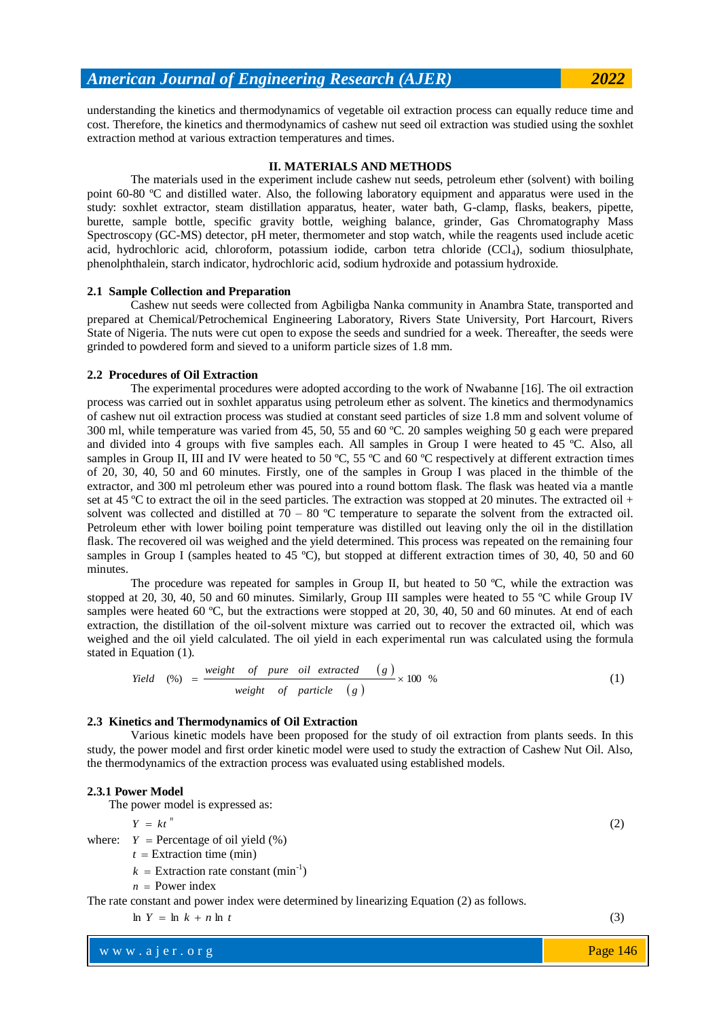understanding the kinetics and thermodynamics of vegetable oil extraction process can equally reduce time and cost. Therefore, the kinetics and thermodynamics of cashew nut seed oil extraction was studied using the soxhlet extraction method at various extraction temperatures and times.

# **II. MATERIALS AND METHODS**

The materials used in the experiment include cashew nut seeds, petroleum ether (solvent) with boiling point 60-80 ºC and distilled water. Also, the following laboratory equipment and apparatus were used in the study: soxhlet extractor, steam distillation apparatus, heater, water bath, G-clamp, flasks, beakers, pipette, burette, sample bottle, specific gravity bottle, weighing balance, grinder, Gas Chromatography Mass Spectroscopy (GC-MS) detector, pH meter, thermometer and stop watch, while the reagents used include acetic acid, hydrochloric acid, chloroform, potassium iodide, carbon tetra chloride (CCl4), sodium thiosulphate, phenolphthalein, starch indicator, hydrochloric acid, sodium hydroxide and potassium hydroxide.

# **2.1 Sample Collection and Preparation**

Cashew nut seeds were collected from Agbiligba Nanka community in Anambra State, transported and prepared at Chemical/Petrochemical Engineering Laboratory, Rivers State University, Port Harcourt, Rivers State of Nigeria. The nuts were cut open to expose the seeds and sundried for a week. Thereafter, the seeds were grinded to powdered form and sieved to a uniform particle sizes of 1.8 mm.

## **2.2 Procedures of Oil Extraction**

The experimental procedures were adopted according to the work of Nwabanne [16]. The oil extraction process was carried out in soxhlet apparatus using petroleum ether as solvent. The kinetics and thermodynamics of cashew nut oil extraction process was studied at constant seed particles of size 1.8 mm and solvent volume of 300 ml, while temperature was varied from 45, 50, 55 and 60 ºC. 20 samples weighing 50 g each were prepared and divided into 4 groups with five samples each. All samples in Group I were heated to 45 ºC. Also, all samples in Group II, III and IV were heated to 50  $^{\circ}C$ , 55  $^{\circ}C$  and 60  $^{\circ}C$  respectively at different extraction times of 20, 30, 40, 50 and 60 minutes. Firstly, one of the samples in Group I was placed in the thimble of the extractor, and 300 ml petroleum ether was poured into a round bottom flask. The flask was heated via a mantle set at 45 °C to extract the oil in the seed particles. The extraction was stopped at 20 minutes. The extracted oil + solvent was collected and distilled at  $70 - 80$  °C temperature to separate the solvent from the extracted oil. Petroleum ether with lower boiling point temperature was distilled out leaving only the oil in the distillation flask. The recovered oil was weighed and the yield determined. This process was repeated on the remaining four samples in Group I (samples heated to 45 °C), but stopped at different extraction times of 30, 40, 50 and 60 minutes.

The procedure was repeated for samples in Group II, but heated to 50 °C, while the extraction was stopped at 20, 30, 40, 50 and 60 minutes. Similarly, Group III samples were heated to 55 °C while Group IV samples were heated 60 °C, but the extractions were stopped at 20, 30, 40, 50 and 60 minutes. At end of each extraction, the distillation of the oil-solvent mixture was carried out to recover the extracted oil, which was weighed and the oil yield calculated. The oil yield in each experimental run was calculated using the formula stated in Equation (1).

$$
Yield (%) = \frac{weight \ of \ pure \ oil \ extracted \ }{(g)} \times 100 \%
$$

## **2.3 Kinetics and Thermodynamics of Oil Extraction**

Various kinetic models have been proposed for the study of oil extraction from plants seeds. In this study, the power model and first order kinetic model were used to study the extraction of Cashew Nut Oil. Also, the thermodynamics of the extraction process was evaluated using established models.

#### **2.3.1 Power Model**

The power model is expressed as:

$$
Y = kt^n
$$

where:  $Y = \text{Percentage of oil yield } (\%)$ 

 $t =$  Extraction time (min)

 $k =$  Extraction rate constant (min<sup>-1</sup>)

$$
n = Power index
$$

The rate constant and power index were determined by linearizing Equation (2) as follows.

$$
\ln Y = \ln k + n \ln t
$$

www.ajer.org where  $\mathcal{L} = \mathcal{L} \left( \mathcal{L} \right)$  is the set of  $\mathcal{L} \left( \mathcal{L} \right)$ 

(3)

(2)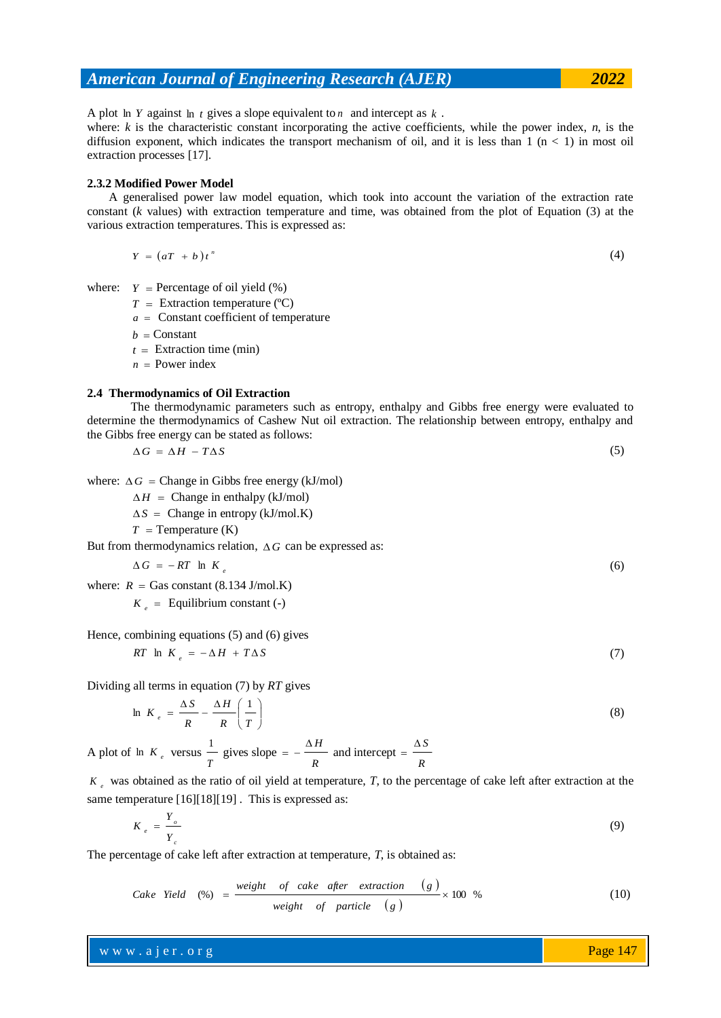A plot  $\ln Y$  against  $\ln t$  gives a slope equivalent to n and intercept as  $k$ .

where: *k* is the characteristic constant incorporating the active coefficients, while the power index, *n*, is the diffusion exponent, which indicates the transport mechanism of oil, and it is less than  $1 \text{ (n} < 1)$  in most oil extraction processes [17].

# **2.3.2 Modified Power Model**

A generalised power law model equation, which took into account the variation of the extraction rate constant (*k* values) with extraction temperature and time, was obtained from the plot of Equation (3) at the various extraction temperatures. This is expressed as:

$$
Y = (aT + b)t^{n}
$$
 (4)

where:  $Y = \text{Percentage of oil yield } (\%)$ 

- $T =$  Extraction temperature (°C)
- *a* Constant coefficient of temperature
- $b =$  Constant
- $t =$  Extraction time (min)
- *n* Power index

## **2.4 Thermodynamics of Oil Extraction**

The thermodynamic parameters such as entropy, enthalpy and Gibbs free energy were evaluated to determine the thermodynamics of Cashew Nut oil extraction. The relationship between entropy, enthalpy and the Gibbs free energy can be stated as follows:

$$
\Delta G = \Delta H - T \Delta S \tag{5}
$$

where:  $\Delta G$  = Change in Gibbs free energy (kJ/mol)

 $\Delta H$  = Change in enthalpy (kJ/mol)

 $\Delta S$  = Change in entropy (kJ/mol.K)

 $T =$  Temperature (K)

But from thermodynamics relation,  $\Delta G$  can be expressed as:

$$
\Delta G = -RT \ln K_e
$$

where:  $R =$  Gas constant (8.134 J/mol.K)

 $K_e$  = Equilibrium constant (-)

Hence, combining equations (5) and (6) gives

$$
RT \ln K_e = -\Delta H + T\Delta S \tag{7}
$$

Dividing all terms in equation (7) by *RT* gives

$$
\ln K_e = \frac{\Delta S}{R} - \frac{\Delta H}{R} \left( \frac{1}{T} \right) \tag{8}
$$

A plot of  $\ln K_e$  versus *T*  $\frac{1}{2}$  gives slope *R*  $= -\frac{\Delta H}{\Delta t}$  and intercept *R*  $=$  $\frac{\Delta S}{\Delta}$ 

*e K* was obtained as the ratio of oil yield at temperature, *T*, to the percentage of cake left after extraction at the same temperature [16][18][19]. This is expressed as:

$$
K_{e} = \frac{Y_{o}}{Y_{c}}
$$

The percentage of cake left after extraction at temperature, *T*, is obtained as:

*Case Yield* (%) = 
$$
\frac{\text{weight of cake after extraction} (g)}{\text{weight of particle} (g)} \times 100 % \tag{10}
$$

www.ajer.org where  $\mathcal{L} = \mathcal{L} \left( \mathcal{L} \right)$  is the set of  $\mathcal{L} \left( \mathcal{L} \right)$ 

Page 147

(6)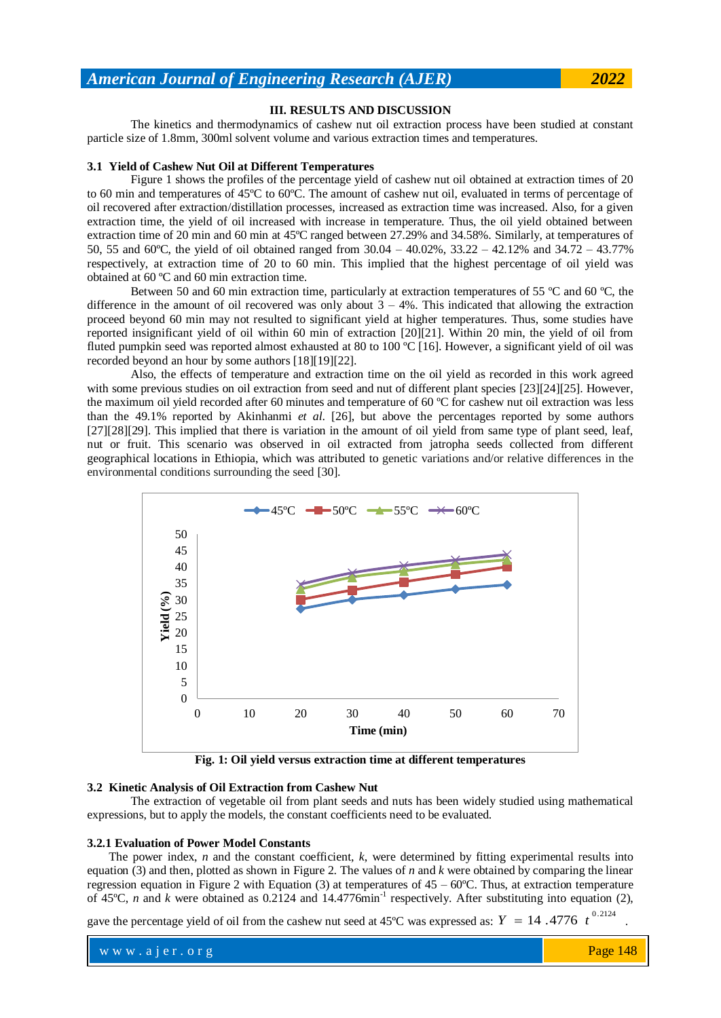# **III. RESULTS AND DISCUSSION**

The kinetics and thermodynamics of cashew nut oil extraction process have been studied at constant particle size of 1.8mm, 300ml solvent volume and various extraction times and temperatures.

# **3.1 Yield of Cashew Nut Oil at Different Temperatures**

Figure 1 shows the profiles of the percentage yield of cashew nut oil obtained at extraction times of 20 to 60 min and temperatures of 45ºC to 60ºC. The amount of cashew nut oil, evaluated in terms of percentage of oil recovered after extraction/distillation processes, increased as extraction time was increased. Also, for a given extraction time, the yield of oil increased with increase in temperature. Thus, the oil yield obtained between extraction time of 20 min and 60 min at 45ºC ranged between 27.29% and 34.58%. Similarly, at temperatures of 50, 55 and 60ºC, the yield of oil obtained ranged from 30.04 – 40.02%, 33.22 – 42.12% and 34.72 – 43.77% respectively, at extraction time of 20 to 60 min. This implied that the highest percentage of oil yield was obtained at 60 ºC and 60 min extraction time.

Between 50 and 60 min extraction time, particularly at extraction temperatures of 55 ºC and 60 ºC, the difference in the amount of oil recovered was only about  $3 - 4\%$ . This indicated that allowing the extraction proceed beyond 60 min may not resulted to significant yield at higher temperatures. Thus, some studies have reported insignificant yield of oil within 60 min of extraction [20][21]. Within 20 min, the yield of oil from fluted pumpkin seed was reported almost exhausted at 80 to 100 °C [16]. However, a significant yield of oil was recorded beyond an hour by some authors [18][19][22].

Also, the effects of temperature and extraction time on the oil yield as recorded in this work agreed with some previous studies on oil extraction from seed and nut of different plant species [23][24][25]. However, the maximum oil yield recorded after 60 minutes and temperature of 60 ºC for cashew nut oil extraction was less than the 49.1% reported by Akinhanmi *et al*. [26], but above the percentages reported by some authors [27][28][29]. This implied that there is variation in the amount of oil yield from same type of plant seed, leaf, nut or fruit. This scenario was observed in oil extracted from jatropha seeds collected from different geographical locations in Ethiopia, which was attributed to genetic variations and/or relative differences in the environmental conditions surrounding the seed [30].



**Fig. 1: Oil yield versus extraction time at different temperatures**

# **3.2 Kinetic Analysis of Oil Extraction from Cashew Nut**

The extraction of vegetable oil from plant seeds and nuts has been widely studied using mathematical expressions, but to apply the models, the constant coefficients need to be evaluated.

#### **3.2.1 Evaluation of Power Model Constants**

The power index, *n* and the constant coefficient, *k*, were determined by fitting experimental results into equation (3) and then, plotted as shown in Figure 2. The values of  $n$  and  $k$  were obtained by comparing the linear regression equation in Figure 2 with Equation (3) at temperatures of  $45 - 60^{\circ}$ C. Thus, at extraction temperature of 45°C, *n* and *k* were obtained as 0.2124 and 14.4776min<sup>-1</sup> respectively. After substituting into equation (2),

gave the percentage yield of oil from the cashew nut seed at 45<sup>o</sup>C was expressed as:  $Y = 14$ . 4776  $t^{0.2124}$ .

www.ajer.org where  $\mathcal{L} = \mathcal{L} \left( \mathcal{L} \right)$  is the set of  $\mathcal{L} \left( \mathcal{L} \right)$ Page 148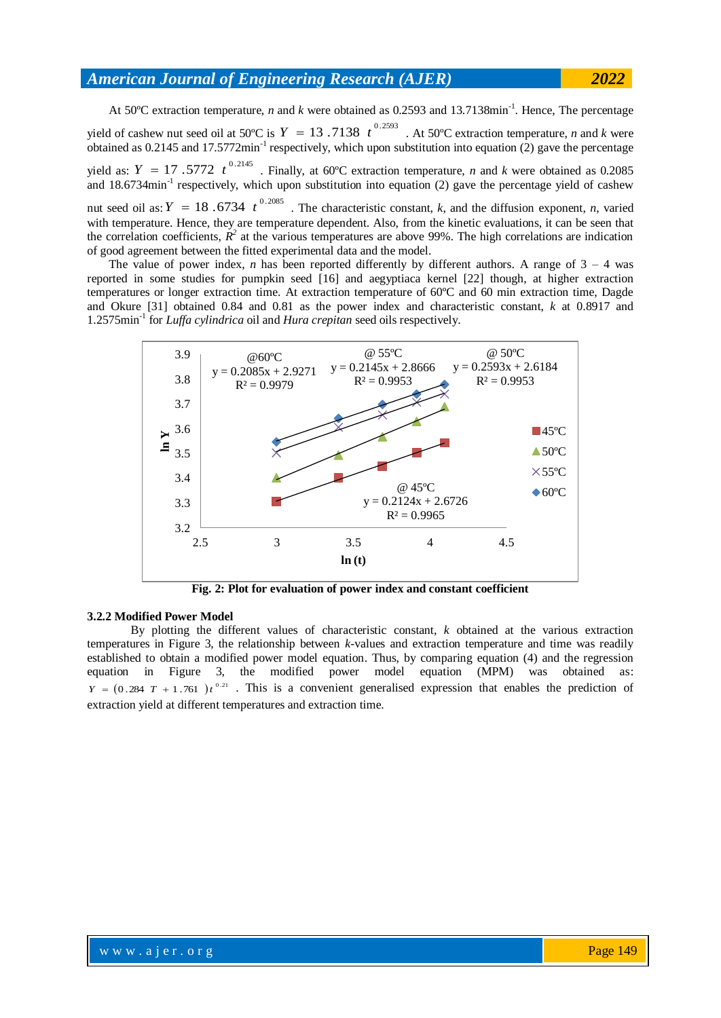At 50°C extraction temperature, *n* and *k* were obtained as 0.2593 and 13.7138min<sup>-1</sup>. Hence, The percentage yield of cashew nut seed oil at 50°C is  $Y = 13.7138 t^{0.2593}$ . At 50°C extraction temperature, *n* and *k* were obtained as  $0.2145$  and  $17.5772$  min<sup>-1</sup> respectively, which upon substitution into equation (2) gave the percentage yield as:  $Y = 17$ .5772  $t^{0.2145}$ . Finally, at 60°C extraction temperature, *n* and *k* were obtained as 0.2085 and 18.6734min<sup>-1</sup> respectively, which upon substitution into equation (2) gave the percentage yield of cashew nut seed oil as:  $Y = 18.6734 t^{0.2085}$ . The characteristic constant, *k*, and the diffusion exponent, *n*, varied with temperature. Hence, they are temperature dependent. Also, from the kinetic evaluations, it can be seen that the correlation coefficients,  $R^2$  at the various temperatures are above 99%. The high correlations are indication of good agreement between the fitted experimental data and the model.

The value of power index, *n* has been reported differently by different authors. A range of  $3 - 4$  was reported in some studies for pumpkin seed [16] and aegyptiaca kernel [22] though, at higher extraction temperatures or longer extraction time. At extraction temperature of 60ºC and 60 min extraction time, Dagde and Okure [31] obtained 0.84 and 0.81 as the power index and characteristic constant, *k* at 0.8917 and 1.2575min-1 for *Luffa cylindrica* oil and *Hura crepitan* seed oils respectively.



**Fig. 2: Plot for evaluation of power index and constant coefficient**

#### **3.2.2 Modified Power Model**

By plotting the different values of characteristic constant, *k* obtained at the various extraction temperatures in Figure 3, the relationship between *k*-values and extraction temperature and time was readily established to obtain a modified power model equation. Thus, by comparing equation (4) and the regression equation in Figure 3, the modified power model equation (MPM) was obtained as:  $Y = (0.284 T + 1.761) t^{0.21}$ . This is a convenient generalised expression that enables the prediction of extraction yield at different temperatures and extraction time.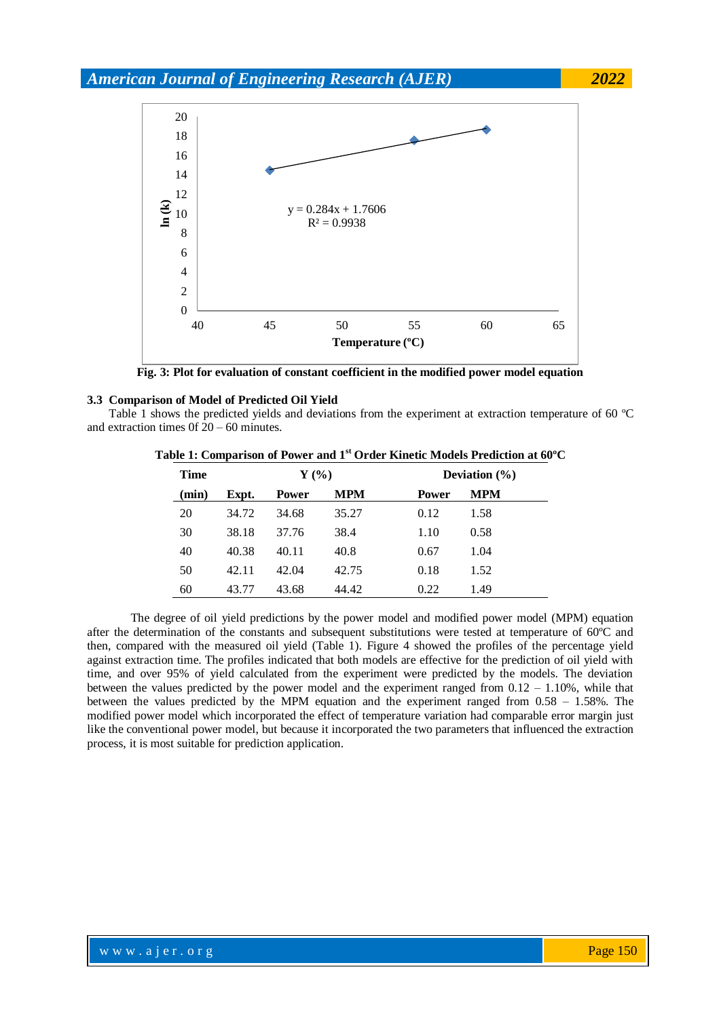

**Fig. 3: Plot for evaluation of constant coefficient in the modified power model equation**

## **3.3 Comparison of Model of Predicted Oil Yield**

Table 1 shows the predicted yields and deviations from the experiment at extraction temperature of 60 ºC and extraction times 0f 20 – 60 minutes.

| <b>Time</b> |       | $Y(\%)$      |            |              | Deviation $(\% )$ |  |  |
|-------------|-------|--------------|------------|--------------|-------------------|--|--|
| (min)       | Expt. | <b>Power</b> | <b>MPM</b> | <b>Power</b> | <b>MPM</b>        |  |  |
| 20          | 34.72 | 34.68        | 35.27      | 0.12         | 1.58              |  |  |
| 30          | 38.18 | 37.76        | 38.4       | 1.10         | 0.58              |  |  |
| 40          | 40.38 | 40.11        | 40.8       | 0.67         | 1.04              |  |  |
| 50          | 42.11 | 42.04        | 42.75      | 0.18         | 1.52              |  |  |
| 60          | 43.77 | 43.68        | 44.42      | 0.22         | 1.49              |  |  |

| Table 1: Comparison of Power and 1 <sup>st</sup> Order Kinetic Models Prediction at 60°C |  |  |  |  |  |
|------------------------------------------------------------------------------------------|--|--|--|--|--|
|------------------------------------------------------------------------------------------|--|--|--|--|--|

The degree of oil yield predictions by the power model and modified power model (MPM) equation after the determination of the constants and subsequent substitutions were tested at temperature of 60ºC and then, compared with the measured oil yield (Table 1). Figure 4 showed the profiles of the percentage yield against extraction time. The profiles indicated that both models are effective for the prediction of oil yield with time, and over 95% of yield calculated from the experiment were predicted by the models. The deviation between the values predicted by the power model and the experiment ranged from  $0.12 - 1.10\%$ , while that between the values predicted by the MPM equation and the experiment ranged from  $0.58 - 1.58\%$ . The modified power model which incorporated the effect of temperature variation had comparable error margin just like the conventional power model, but because it incorporated the two parameters that influenced the extraction process, it is most suitable for prediction application.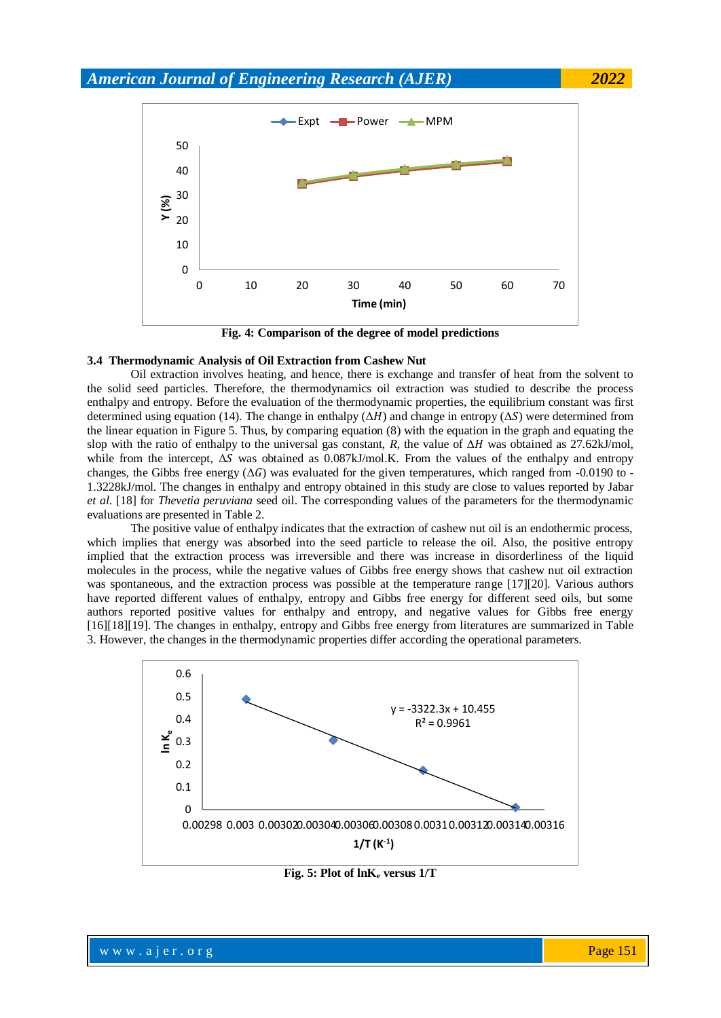

**Fig. 4: Comparison of the degree of model predictions**

#### **3.4 Thermodynamic Analysis of Oil Extraction from Cashew Nut**

Oil extraction involves heating, and hence, there is exchange and transfer of heat from the solvent to the solid seed particles. Therefore, the thermodynamics oil extraction was studied to describe the process enthalpy and entropy. Before the evaluation of the thermodynamic properties, the equilibrium constant was first determined using equation (14). The change in enthalpy  $(\Delta H)$  and change in entropy  $(\Delta S)$  were determined from the linear equation in Figure 5. Thus, by comparing equation (8) with the equation in the graph and equating the slop with the ratio of enthalpy to the universal gas constant, *R*, the value of  $\Delta H$  was obtained as 27.62kJ/mol, while from the intercept,  $\Delta S$  was obtained as 0.087kJ/mol.K. From the values of the enthalpy and entropy changes, the Gibbs free energy  $(\Delta G)$  was evaluated for the given temperatures, which ranged from -0.0190 to -1.3228kJ/mol. The changes in enthalpy and entropy obtained in this study are close to values reported by Jabar *et al*. [18] for *Thevetia peruviana* seed oil. The corresponding values of the parameters for the thermodynamic evaluations are presented in Table 2.

The positive value of enthalpy indicates that the extraction of cashew nut oil is an endothermic process, which implies that energy was absorbed into the seed particle to release the oil. Also, the positive entropy implied that the extraction process was irreversible and there was increase in disorderliness of the liquid molecules in the process, while the negative values of Gibbs free energy shows that cashew nut oil extraction was spontaneous, and the extraction process was possible at the temperature range [17][20]. Various authors have reported different values of enthalpy, entropy and Gibbs free energy for different seed oils, but some authors reported positive values for enthalpy and entropy, and negative values for Gibbs free energy [16][18][19]. The changes in enthalpy, entropy and Gibbs free energy from literatures are summarized in Table 3. However, the changes in the thermodynamic properties differ according the operational parameters.



**Fig. 5: Plot of lnK<sup>e</sup> versus 1/T**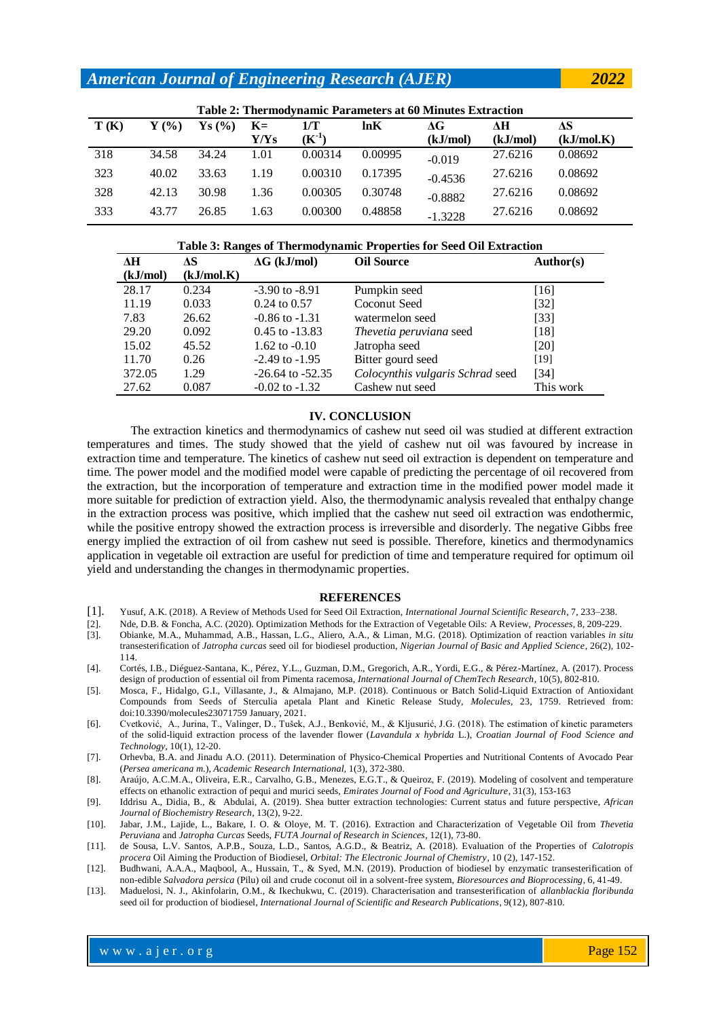| Table 2: Thermodynamic Parameters at 60 Minutes Extraction |                  |                   |      |            |         |           |          |            |
|------------------------------------------------------------|------------------|-------------------|------|------------|---------|-----------|----------|------------|
| T(K)                                                       | $\mathbf{Y}$ (%) | $\mathbf{Ys}$ (%) | $K=$ | 1/T        | ln K    | AG        | ЛH       | ΔS         |
|                                                            |                  |                   | Y/Ys | $(K^{-1})$ |         | (kJ/mol)  | (kJ/mol) | (kJ/mol.K) |
| 318                                                        | 34.58            | 34.24             | 1.01 | 0.00314    | 0.00995 | $-0.019$  | 27.6216  | 0.08692    |
| 323                                                        | 40.02            | 33.63             | 1.19 | 0.00310    | 0.17395 | $-0.4536$ | 27.6216  | 0.08692    |
| 328                                                        | 42.13            | 30.98             | 1.36 | 0.00305    | 0.30748 | $-0.8882$ | 27.6216  | 0.08692    |
| 333                                                        | 43.77            | 26.85             | 1.63 | 0.00300    | 0.48858 | $-1.3228$ | 27.6216  | 0.08692    |

#### **Table 3: Ranges of Thermodynamic Properties for Seed Oil Extraction**

| ЛH       | АS         | $\Delta G$ (kJ/mol)  | <b>Oil Source</b>                | Author(s) |
|----------|------------|----------------------|----------------------------------|-----------|
| (kJ/mol) | (kJ/mol.K) |                      |                                  |           |
| 28.17    | 0.234      | $-3.90$ to $-8.91$   | Pumpkin seed                     | [16]      |
| 11.19    | 0.033      | $0.24$ to $0.57$     | Coconut Seed                     | $[32]$    |
| 7.83     | 26.62      | $-0.86$ to $-1.31$   | watermelon seed                  | $[33]$    |
| 29.20    | 0.092      | $0.45$ to $-13.83$   | Thevetia peruviana seed          | $[18]$    |
| 15.02    | 45.52      | 1.62 to $-0.10$      | Jatropha seed                    | [20]      |
| 11.70    | 0.26       | $-2.49$ to $-1.95$   | Bitter gourd seed                | [19]      |
| 372.05   | 1.29       | $-26.64$ to $-52.35$ | Colocynthis vulgaris Schrad seed | [34]      |
| 27.62    | 0.087      | $-0.02$ to $-1.32$   | Cashew nut seed                  | This work |

# **IV. CONCLUSION**

The extraction kinetics and thermodynamics of cashew nut seed oil was studied at different extraction temperatures and times. The study showed that the yield of cashew nut oil was favoured by increase in extraction time and temperature. The kinetics of cashew nut seed oil extraction is dependent on temperature and time. The power model and the modified model were capable of predicting the percentage of oil recovered from the extraction, but the incorporation of temperature and extraction time in the modified power model made it more suitable for prediction of extraction yield. Also, the thermodynamic analysis revealed that enthalpy change in the extraction process was positive, which implied that the cashew nut seed oil extraction was endothermic, while the positive entropy showed the extraction process is irreversible and disorderly. The negative Gibbs free energy implied the extraction of oil from cashew nut seed is possible. Therefore, kinetics and thermodynamics application in vegetable oil extraction are useful for prediction of time and temperature required for optimum oil yield and understanding the changes in thermodynamic properties.

#### **REFERENCES**

- [1]. Yusuf, A.K. (2018). A Review of Methods Used for Seed Oil Extraction, *International Journal Scientific Research*, 7, 233–238.
- [2]. Nde, D.B. & Foncha, A.C. (2020). Optimization Methods for the Extraction of Vegetable Oils: A Review, *Processes*, 8, 209-229.
- [3]. Obianke, M.A., Muhammad, A.B., Hassan, L.G., Aliero, A.A., & Liman, M.G. (2018). Optimization of reaction variables *in situ*  transesterification of *Jatropha curcas* seed oil for biodiesel production, *Nigerian Journal of Basic and Applied Science*, 26(2), 102- 114.
- [4]. Cortés, I.B., Diéguez-Santana, K., Pérez, Y.L., Guzman, D.M., Gregorich, A.R., Yordi, E.G., & Pérez-Martínez, A. (2017). Process design of production of essential oil from Pimenta racemosa, *International Journal of ChemTech Research*, 10(5), 802-810.
- [5]. Mosca, F., Hidalgo, G.I., Villasante, J., & Almajano, M.P. (2018). Continuous or Batch Solid-Liquid Extraction of Antioxidant Compounds from Seeds of Sterculia apetala Plant and Kinetic Release Study, *Molecules*, 23, 1759. Retrieved from: doi:10.3390/molecules23071759 January, 2021.
- [6]. Cvetković, A., Jurina, T., Valinger, D., Tušek, A.J., Benković, M., & Kljusurić, J.G. (2018). The estimation of kinetic parameters of the solid-liquid extraction process of the lavender flower (*Lavandula x hybrida* L.), *Croatian Journal of Food Science and Technology*, 10(1), 12-20.
- [7]. Orhevba, B.A. and Jinadu A.O. (2011). Determination of Physico-Chemical Properties and Nutritional Contents of Avocado Pear (*Persea americana m.*), *Academic Research International,* 1(3), 372-380.
- [8]. Araújo, A.C.M.A., Oliveira, E.R., Carvalho, G.B., Menezes, E.G.T., & Queiroz, F. (2019). Modeling of cosolvent and temperature effects on ethanolic extraction of pequi and murici seeds, *Emirates Journal of Food and Agriculture*, 31(3), 153-163
- [9]. Iddrisu A., Didia, B., & Abdulai, A. (2019). Shea butter extraction technologies: Current status and future perspective, *African Journal of Biochemistry Research*, 13(2), 9-22.
- [10]. Jabar, J.M., Lajide, L., Bakare, I. O. & Oloye, M. T. (2016). Extraction and Characterization of Vegetable Oil from *Thevetia Peruviana* and *Jatropha Curcas* Seeds, *FUTA Journal of Research in Sciences*, 12(1), 73-80.
- [11]. de Sousa, L.V. Santos, A.P.B., Souza, L.D., Santos, A.G.D., & Beatriz, A. (2018). Evaluation of the Properties of *Calotropis procera* Oil Aiming the Production of Biodiesel, *Orbital: The Electronic Journal of Chemistry*, 10 (2), 147-152.
- [12]. Budhwani, A.A.A., Maqbool, A., Hussain, T., & Syed, M.N. (2019). Production of biodiesel by enzymatic transesterification of non-edible *Salvadora persica* (Pilu) oil and crude coconut oil in a solvent-free system, *Bioresources and Bioprocessing*, 6, 41-49.
- [13]. Maduelosi, N. J., Akinfolarin, O.M., & Ikechukwu, C. (2019). Characterisation and transesterification of *allanblackia floribunda*  seed oil for production of biodiesel, *International Journal of Scientific and Research Publications*, 9(12), 807-810.